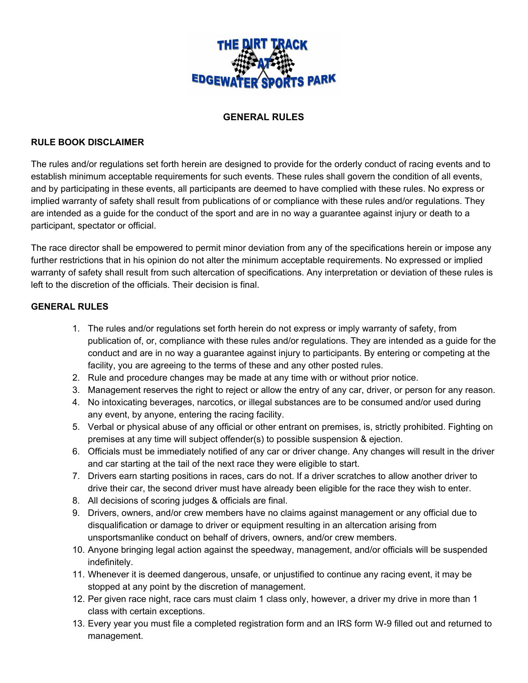

### **GENERAL RULES**

#### **RULE BOOK DISCLAIMER**

The rules and/or regulations set forth herein are designed to provide for the orderly conduct of racing events and to establish minimum acceptable requirements for such events. These rules shall govern the condition of all events, and by participating in these events, all participants are deemed to have complied with these rules. No express or implied warranty of safety shall result from publications of or compliance with these rules and/or regulations. They are intended as a guide for the conduct of the sport and are in no way a guarantee against injury or death to a participant, spectator or official.

The race director shall be empowered to permit minor deviation from any of the specifications herein or impose any further restrictions that in his opinion do not alter the minimum acceptable requirements. No expressed or implied warranty of safety shall result from such altercation of specifications. Any interpretation or deviation of these rules is left to the discretion of the officials. Their decision is final.

#### **GENERAL RULES**

- 1. The rules and/or regulations set forth herein do not express or imply warranty of safety, from publication of, or, compliance with these rules and/or regulations. They are intended as a guide for the conduct and are in no way a guarantee against injury to participants. By entering or competing at the facility, you are agreeing to the terms of these and any other posted rules.
- 2. Rule and procedure changes may be made at any time with or without prior notice.
- 3. Management reserves the right to reject or allow the entry of any car, driver, or person for any reason.
- 4. No intoxicating beverages, narcotics, or illegal substances are to be consumed and/or used during any event, by anyone, entering the racing facility.
- 5. Verbal or physical abuse of any official or other entrant on premises, is, strictly prohibited. Fighting on premises at any time will subject offender(s) to possible suspension & ejection.
- 6. Officials must be immediately notified of any car or driver change. Any changes will result in the driver and car starting at the tail of the next race they were eligible to start.
- 7. Drivers earn starting positions in races, cars do not. If a driver scratches to allow another driver to drive their car, the second driver must have already been eligible for the race they wish to enter.
- 8. All decisions of scoring judges & officials are final.
- 9. Drivers, owners, and/or crew members have no claims against management or any official due to disqualification or damage to driver or equipment resulting in an altercation arising from unsportsmanlike conduct on behalf of drivers, owners, and/or crew members.
- 10. Anyone bringing legal action against the speedway, management, and/or officials will be suspended indefinitely.
- 11. Whenever it is deemed dangerous, unsafe, or unjustified to continue any racing event, it may be stopped at any point by the discretion of management.
- 12. Per given race night, race cars must claim 1 class only, however, a driver my drive in more than 1 class with certain exceptions.
- 13. Every year you must file a completed registration form and an IRS form W-9 filled out and returned to management.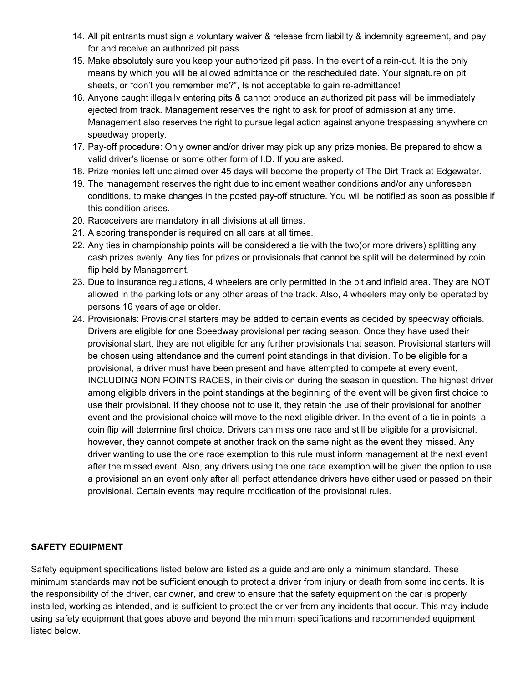- 14. All pit entrants must sign a voluntary waiver & release from liability & indemnity agreement, and pay for and receive an authorized pit pass.
- 15. Make absolutely sure you keep your authorized pit pass. In the event of a rain-out. It is the only means by which you will be allowed admittance on the rescheduled date. Your signature on pit sheets, or "don't you remember me?", Is not acceptable to gain re-admittance!
- 16. Anyone caught illegally entering pits & cannot produce an authorized pit pass will be immediately ejected from track. Management reserves the right to ask for proof of admission at any time. Management also reserves the right to pursue legal action against anyone trespassing anywhere on speedway property.
- 17. Pay-off procedure: Only owner and/or driver may pick up any prize monies. Be prepared to show a valid driver's license or some other form of I.D. If you are asked.
- 18. Prize monies left unclaimed over 45 days will become the property of The Dirt Track at Edgewater.
- 19. The management reserves the right due to inclement weather conditions and/or any unforeseen conditions, to make changes in the posted pay-off structure. You will be notified as soon as possible if this condition arises.
- 20. Raceceivers are mandatory in all divisions at all times.
- 21. A scoring transponder is required on all cars at all times.
- 22. Any ties in championship points will be considered a tie with the two(or more drivers) splitting any cash prizes evenly. Any ties for prizes or provisionals that cannot be split will be determined by coin flip held by Management.
- 23. Due to insurance regulations, 4 wheelers are only permitted in the pit and infield area. They are NOT allowed in the parking lots or any other areas of the track. Also, 4 wheelers may only be operated by persons 16 years of age or older.
- 24. Provisionals: Provisional starters may be added to certain events as decided by speedway officials. Drivers are eligible for one Speedway provisional per racing season. Once they have used their provisional start, they are not eligible for any further provisionals that season. Provisional starters will be chosen using attendance and the current point standings in that division. To be eligible for a provisional, a driver must have been present and have attempted to compete at every event, INCLUDING NON POINTS RACES, in their division during the season in question. The highest driver among eligible drivers in the point standings at the beginning of the event will be given first choice to use their provisional. If they choose not to use it, they retain the use of their provisional for another event and the provisional choice will move to the next eligible driver. In the event of a tie in points, a coin flip will determine first choice. Drivers can miss one race and still be eligible for a provisional, however, they cannot compete at another track on the same night as the event they missed. Any driver wanting to use the one race exemption to this rule must inform management at the next event after the missed event. Also, any drivers using the one race exemption will be given the option to use a provisional an an event only after all perfect attendance drivers have either used or passed on their provisional. Certain events may require modification of the provisional rules.

## **SAFETY EQUIPMENT**

Safety equipment specifications listed below are listed as a guide and are only a minimum standard. These minimum standards may not be sufficient enough to protect a driver from injury or death from some incidents. It is the responsibility of the driver, car owner, and crew to ensure that the safety equipment on the car is properly installed, working as intended, and is sufficient to protect the driver from any incidents that occur. This may include using safety equipment that goes above and beyond the minimum specifications and recommended equipment listed below.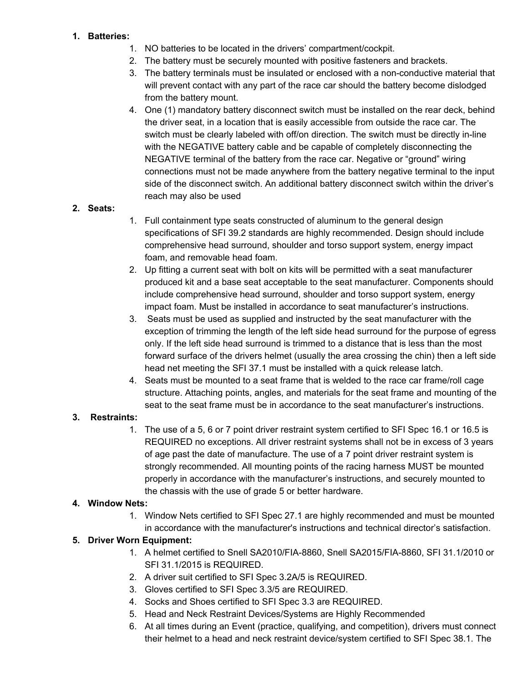### **1. Batteries:**

- 1. NO batteries to be located in the drivers' compartment/cockpit.
- 2. The battery must be securely mounted with positive fasteners and brackets.
- 3. The battery terminals must be insulated or enclosed with a non-conductive material that will prevent contact with any part of the race car should the battery become dislodged from the battery mount.
- 4. One (1) mandatory battery disconnect switch must be installed on the rear deck, behind the driver seat, in a location that is easily accessible from outside the race car. The switch must be clearly labeled with off/on direction. The switch must be directly in-line with the NEGATIVE battery cable and be capable of completely disconnecting the NEGATIVE terminal of the battery from the race car. Negative or "ground" wiring connections must not be made anywhere from the battery negative terminal to the input side of the disconnect switch. An additional battery disconnect switch within the driver's reach may also be used

### **2. Seats:**

- 1. Full containment type seats constructed of aluminum to the general design specifications of SFI 39.2 standards are highly recommended. Design should include comprehensive head surround, shoulder and torso support system, energy impact foam, and removable head foam.
- 2. Up fitting a current seat with bolt on kits will be permitted with a seat manufacturer produced kit and a base seat acceptable to the seat manufacturer. Components should include comprehensive head surround, shoulder and torso support system, energy impact foam. Must be installed in accordance to seat manufacturer's instructions.
- 3. Seats must be used as supplied and instructed by the seat manufacturer with the exception of trimming the length of the left side head surround for the purpose of egress only. If the left side head surround is trimmed to a distance that is less than the most forward surface of the drivers helmet (usually the area crossing the chin) then a left side head net meeting the SFI 37.1 must be installed with a quick release latch.
- 4. Seats must be mounted to a seat frame that is welded to the race car frame/roll cage structure. Attaching points, angles, and materials for the seat frame and mounting of the seat to the seat frame must be in accordance to the seat manufacturer's instructions.

## **3. Restraints:**

1. The use of a 5, 6 or 7 point driver restraint system certified to SFI Spec 16.1 or 16.5 is REQUIRED no exceptions. All driver restraint systems shall not be in excess of 3 years of age past the date of manufacture. The use of a 7 point driver restraint system is strongly recommended. All mounting points of the racing harness MUST be mounted properly in accordance with the manufacturer's instructions, and securely mounted to the chassis with the use of grade 5 or better hardware.

#### **4. Window Nets:**

1. Window Nets certified to SFI Spec 27.1 are highly recommended and must be mounted in accordance with the manufacturer's instructions and technical director's satisfaction.

## **5. Driver Worn Equipment:**

- 1. A helmet certified to Snell SA2010/FIA-8860, Snell SA2015/FIA-8860, SFI 31.1/2010 or SFI 31.1/2015 is REQUIRED.
- 2. A driver suit certified to SFI Spec 3.2A/5 is REQUIRED.
- 3. Gloves certified to SFI Spec 3.3/5 are REQUIRED.
- 4. Socks and Shoes certified to SFI Spec 3.3 are REQUIRED.
- 5. Head and Neck Restraint Devices/Systems are Highly Recommended
- 6. At all times during an Event (practice, qualifying, and competition), drivers must connect their helmet to a head and neck restraint device/system certified to SFI Spec 38.1. The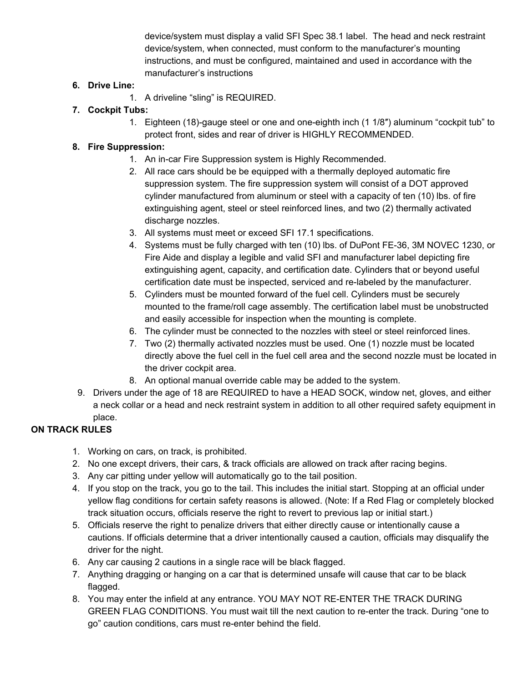device/system must display a valid SFI Spec 38.1 label. The head and neck restraint device/system, when connected, must conform to the manufacturer's mounting instructions, and must be configured, maintained and used in accordance with the manufacturer's instructions

## **6. Drive Line:**

1. A driveline "sling" is REQUIRED.

## **7. Cockpit Tubs:**

1. Eighteen (18)-gauge steel or one and one-eighth inch (1 1/8″) aluminum "cockpit tub" to protect front, sides and rear of driver is HIGHLY RECOMMENDED.

## **8. Fire Suppression:**

- 1. An in-car Fire Suppression system is Highly Recommended.
- 2. All race cars should be be equipped with a thermally deployed automatic fire suppression system. The fire suppression system will consist of a DOT approved cylinder manufactured from aluminum or steel with a capacity of ten (10) lbs. of fire extinguishing agent, steel or steel reinforced lines, and two (2) thermally activated discharge nozzles.
- 3. All systems must meet or exceed SFI 17.1 specifications.
- 4. Systems must be fully charged with ten (10) lbs. of DuPont FE-36, 3M NOVEC 1230, or Fire Aide and display a legible and valid SFI and manufacturer label depicting fire extinguishing agent, capacity, and certification date. Cylinders that or beyond useful certification date must be inspected, serviced and re-labeled by the manufacturer.
- 5. Cylinders must be mounted forward of the fuel cell. Cylinders must be securely mounted to the frame/roll cage assembly. The certification label must be unobstructed and easily accessible for inspection when the mounting is complete.
- 6. The cylinder must be connected to the nozzles with steel or steel reinforced lines.
- 7. Two (2) thermally activated nozzles must be used. One (1) nozzle must be located directly above the fuel cell in the fuel cell area and the second nozzle must be located in the driver cockpit area.
- 8. An optional manual override cable may be added to the system.
- 9. Drivers under the age of 18 are REQUIRED to have a HEAD SOCK, window net, gloves, and either a neck collar or a head and neck restraint system in addition to all other required safety equipment in place.

# **ON TRACK RULES**

- 1. Working on cars, on track, is prohibited.
- 2. No one except drivers, their cars, & track officials are allowed on track after racing begins.
- 3. Any car pitting under yellow will automatically go to the tail position.
- 4. If you stop on the track, you go to the tail. This includes the initial start. Stopping at an official under yellow flag conditions for certain safety reasons is allowed. (Note: If a Red Flag or completely blocked track situation occurs, officials reserve the right to revert to previous lap or initial start.)
- 5. Officials reserve the right to penalize drivers that either directly cause or intentionally cause a cautions. If officials determine that a driver intentionally caused a caution, officials may disqualify the driver for the night.
- 6. Any car causing 2 cautions in a single race will be black flagged.
- 7. Anything dragging or hanging on a car that is determined unsafe will cause that car to be black flagged.
- 8. You may enter the infield at any entrance. YOU MAY NOT RE-ENTER THE TRACK DURING GREEN FLAG CONDITIONS. You must wait till the next caution to re-enter the track. During "one to go" caution conditions, cars must re-enter behind the field.